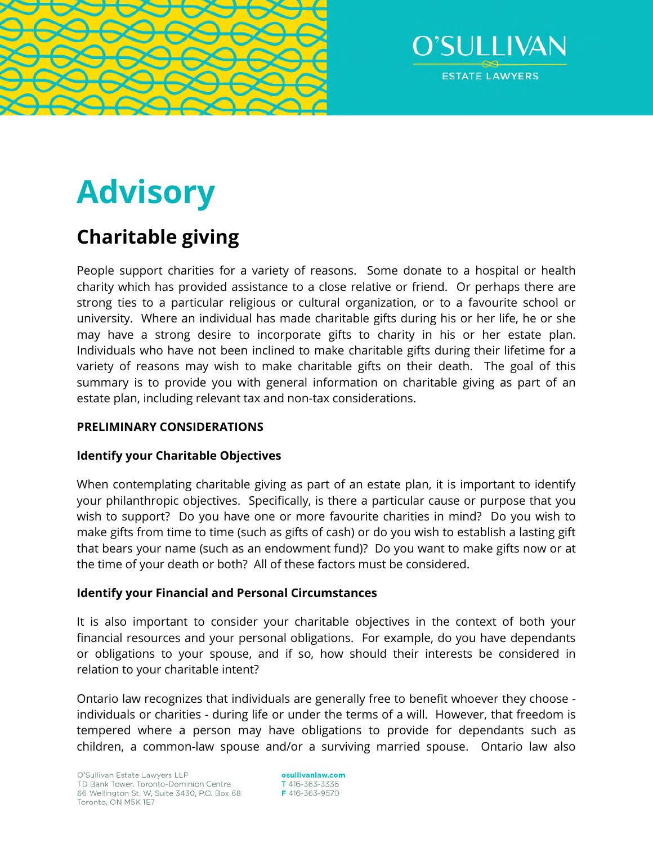



# **Advisory**

# **Charitable giving**

People support charities for a variety of reasons. Some donate to a hospital or health charity which has provided assistance to a close relative or friend. Or perhaps there are strong ties to a particular religious or cultural organization, or to a favourite school or university. Where an individual has made charitable gifts during his or her life, he or she may have a strong desire to incorporate gifts to charity in his or her estate plan. Individuals who have not been inclined to make charitable gifts during their lifetime for a variety of reasons may wish to make charitable gifts on their death. The goal of this summary is to provide you with general information on charitable giving as part of an estate plan, including relevant tax and non-tax considerations.

### **PRELIMINARY CONSIDERATIONS**

## **Identify your Charitable Objectives**

When contemplating charitable giving as part of an estate plan, it is important to identify your philanthropic objectives. Specifically, is there a particular cause or purpose that you wish to support? Do you have one or more favourite charities in mind? Do you wish to make gifts from time to time (such as gifts of cash) or do you wish to establish a lasting gift that bears your name (such as an endowment fund)? Do you want to make gifts now or at the time of your death or both? All of these factors must be considered.

#### **Identify your Financial and Personal Circumstances**

It is also important to consider your charitable objectives in the context of both your financial resources and your personal obligations. For example, do you have dependants or obligations to your spouse, and if so, how should their interests be considered in relation to your charitable intent?

Ontario law recognizes that individuals are generally free to benefit whoever they choose individuals or charities - during life or under the terms of a will. However, that freedom is tempered where a person may have obligations to provide for dependants such as children, a common-law spouse and/or a surviving married spouse. Ontario law also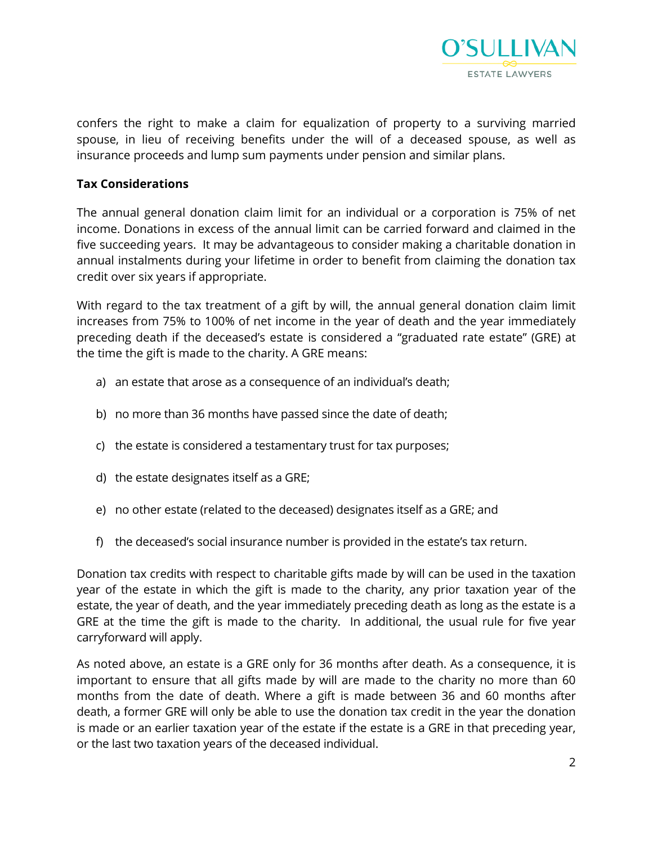

confers the right to make a claim for equalization of property to a surviving married spouse, in lieu of receiving benefits under the will of a deceased spouse, as well as insurance proceeds and lump sum payments under pension and similar plans.

#### **Tax Considerations**

The annual general donation claim limit for an individual or a corporation is 75% of net income. Donations in excess of the annual limit can be carried forward and claimed in the five succeeding years. It may be advantageous to consider making a charitable donation in annual instalments during your lifetime in order to benefit from claiming the donation tax credit over six years if appropriate.

With regard to the tax treatment of a gift by will, the annual general donation claim limit increases from 75% to 100% of net income in the year of death and the year immediately preceding death if the deceased's estate is considered a "graduated rate estate" (GRE) at the time the gift is made to the charity. A GRE means:

- a) an estate that arose as a consequence of an individual's death;
- b) no more than 36 months have passed since the date of death;
- c) the estate is considered a testamentary trust for tax purposes;
- d) the estate designates itself as a GRE;
- e) no other estate (related to the deceased) designates itself as a GRE; and
- f) the deceased's social insurance number is provided in the estate's tax return.

Donation tax credits with respect to charitable gifts made by will can be used in the taxation year of the estate in which the gift is made to the charity, any prior taxation year of the estate, the year of death, and the year immediately preceding death as long as the estate is a GRE at the time the gift is made to the charity. In additional, the usual rule for five year carryforward will apply.

As noted above, an estate is a GRE only for 36 months after death. As a consequence, it is important to ensure that all gifts made by will are made to the charity no more than 60 months from the date of death. Where a gift is made between 36 and 60 months after death, a former GRE will only be able to use the donation tax credit in the year the donation is made or an earlier taxation year of the estate if the estate is a GRE in that preceding year, or the last two taxation years of the deceased individual.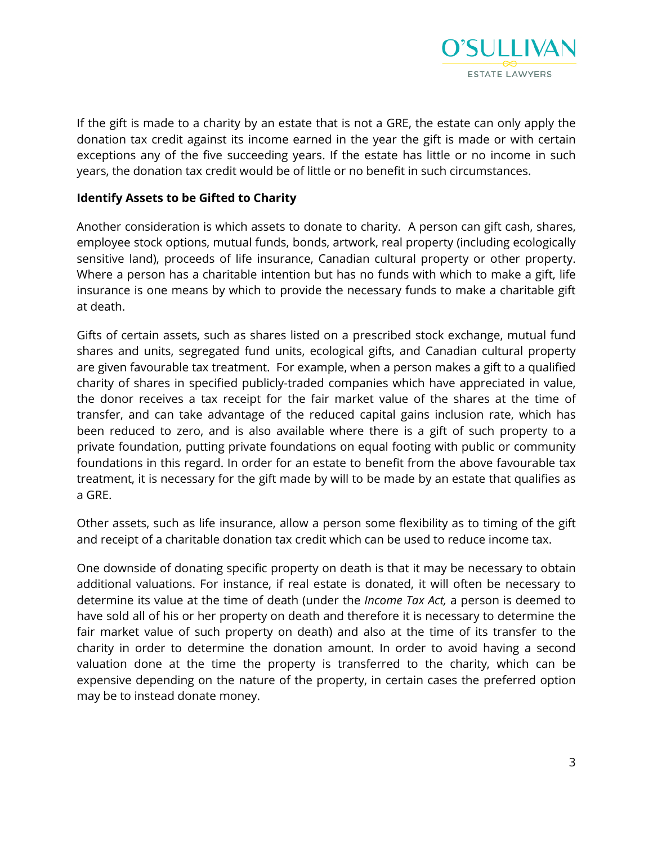

If the gift is made to a charity by an estate that is not a GRE, the estate can only apply the donation tax credit against its income earned in the year the gift is made or with certain exceptions any of the five succeeding years. If the estate has little or no income in such years, the donation tax credit would be of little or no benefit in such circumstances.

#### **Identify Assets to be Gifted to Charity**

Another consideration is which assets to donate to charity. A person can gift cash, shares, employee stock options, mutual funds, bonds, artwork, real property (including ecologically sensitive land), proceeds of life insurance, Canadian cultural property or other property. Where a person has a charitable intention but has no funds with which to make a gift, life insurance is one means by which to provide the necessary funds to make a charitable gift at death.

Gifts of certain assets, such as shares listed on a prescribed stock exchange, mutual fund shares and units, segregated fund units, ecological gifts, and Canadian cultural property are given favourable tax treatment. For example, when a person makes a gift to a qualified charity of shares in specified publicly-traded companies which have appreciated in value, the donor receives a tax receipt for the fair market value of the shares at the time of transfer, and can take advantage of the reduced capital gains inclusion rate, which has been reduced to zero, and is also available where there is a gift of such property to a private foundation, putting private foundations on equal footing with public or community foundations in this regard. In order for an estate to benefit from the above favourable tax treatment, it is necessary for the gift made by will to be made by an estate that qualifies as a GRE.

Other assets, such as life insurance, allow a person some flexibility as to timing of the gift and receipt of a charitable donation tax credit which can be used to reduce income tax.

One downside of donating specific property on death is that it may be necessary to obtain additional valuations. For instance, if real estate is donated, it will often be necessary to determine its value at the time of death (under the *Income Tax Act,* a person is deemed to have sold all of his or her property on death and therefore it is necessary to determine the fair market value of such property on death) and also at the time of its transfer to the charity in order to determine the donation amount. In order to avoid having a second valuation done at the time the property is transferred to the charity, which can be expensive depending on the nature of the property, in certain cases the preferred option may be to instead donate money.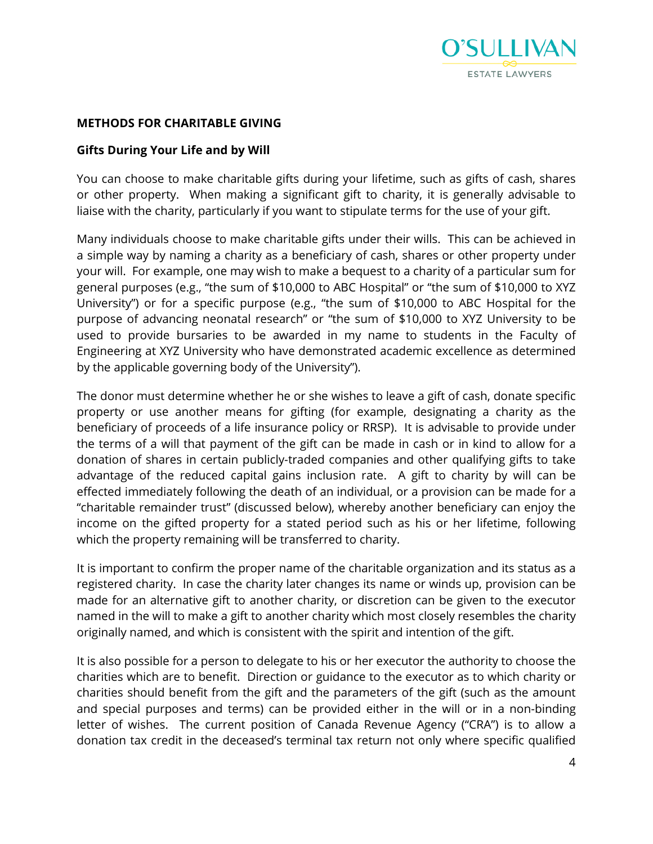

#### **METHODS FOR CHARITABLE GIVING**

#### **Gifts During Your Life and by Will**

You can choose to make charitable gifts during your lifetime, such as gifts of cash, shares or other property. When making a significant gift to charity, it is generally advisable to liaise with the charity, particularly if you want to stipulate terms for the use of your gift.

Many individuals choose to make charitable gifts under their wills. This can be achieved in a simple way by naming a charity as a beneficiary of cash, shares or other property under your will. For example, one may wish to make a bequest to a charity of a particular sum for general purposes (e.g., "the sum of \$10,000 to ABC Hospital" or "the sum of \$10,000 to XYZ University") or for a specific purpose (e.g., "the sum of \$10,000 to ABC Hospital for the purpose of advancing neonatal research" or "the sum of \$10,000 to XYZ University to be used to provide bursaries to be awarded in my name to students in the Faculty of Engineering at XYZ University who have demonstrated academic excellence as determined by the applicable governing body of the University").

The donor must determine whether he or she wishes to leave a gift of cash, donate specific property or use another means for gifting (for example, designating a charity as the beneficiary of proceeds of a life insurance policy or RRSP). It is advisable to provide under the terms of a will that payment of the gift can be made in cash or in kind to allow for a donation of shares in certain publicly-traded companies and other qualifying gifts to take advantage of the reduced capital gains inclusion rate. A gift to charity by will can be effected immediately following the death of an individual, or a provision can be made for a "charitable remainder trust" (discussed below), whereby another beneficiary can enjoy the income on the gifted property for a stated period such as his or her lifetime, following which the property remaining will be transferred to charity.

It is important to confirm the proper name of the charitable organization and its status as a registered charity. In case the charity later changes its name or winds up, provision can be made for an alternative gift to another charity, or discretion can be given to the executor named in the will to make a gift to another charity which most closely resembles the charity originally named, and which is consistent with the spirit and intention of the gift.

It is also possible for a person to delegate to his or her executor the authority to choose the charities which are to benefit. Direction or guidance to the executor as to which charity or charities should benefit from the gift and the parameters of the gift (such as the amount and special purposes and terms) can be provided either in the will or in a non-binding letter of wishes. The current position of Canada Revenue Agency ("CRA") is to allow a donation tax credit in the deceased's terminal tax return not only where specific qualified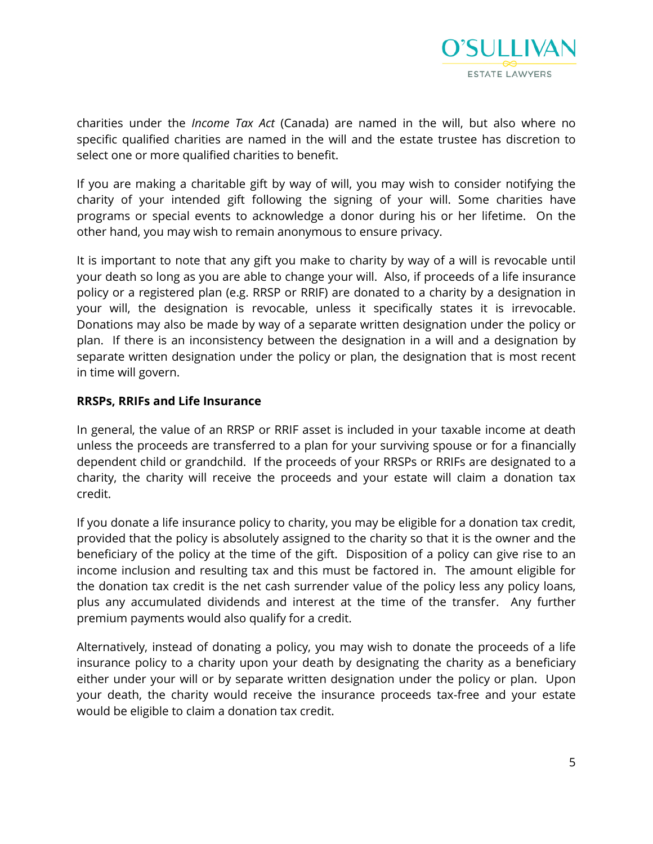

charities under the *Income Tax Act* (Canada) are named in the will, but also where no specific qualified charities are named in the will and the estate trustee has discretion to select one or more qualified charities to benefit.

If you are making a charitable gift by way of will, you may wish to consider notifying the charity of your intended gift following the signing of your will. Some charities have programs or special events to acknowledge a donor during his or her lifetime. On the other hand, you may wish to remain anonymous to ensure privacy.

It is important to note that any gift you make to charity by way of a will is revocable until your death so long as you are able to change your will. Also, if proceeds of a life insurance policy or a registered plan (e.g. RRSP or RRIF) are donated to a charity by a designation in your will, the designation is revocable, unless it specifically states it is irrevocable. Donations may also be made by way of a separate written designation under the policy or plan. If there is an inconsistency between the designation in a will and a designation by separate written designation under the policy or plan, the designation that is most recent in time will govern.

#### **RRSPs, RRIFs and Life Insurance**

In general, the value of an RRSP or RRIF asset is included in your taxable income at death unless the proceeds are transferred to a plan for your surviving spouse or for a financially dependent child or grandchild. If the proceeds of your RRSPs or RRIFs are designated to a charity, the charity will receive the proceeds and your estate will claim a donation tax credit.

If you donate a life insurance policy to charity, you may be eligible for a donation tax credit, provided that the policy is absolutely assigned to the charity so that it is the owner and the beneficiary of the policy at the time of the gift. Disposition of a policy can give rise to an income inclusion and resulting tax and this must be factored in. The amount eligible for the donation tax credit is the net cash surrender value of the policy less any policy loans, plus any accumulated dividends and interest at the time of the transfer. Any further premium payments would also qualify for a credit.

Alternatively, instead of donating a policy, you may wish to donate the proceeds of a life insurance policy to a charity upon your death by designating the charity as a beneficiary either under your will or by separate written designation under the policy or plan. Upon your death, the charity would receive the insurance proceeds tax-free and your estate would be eligible to claim a donation tax credit.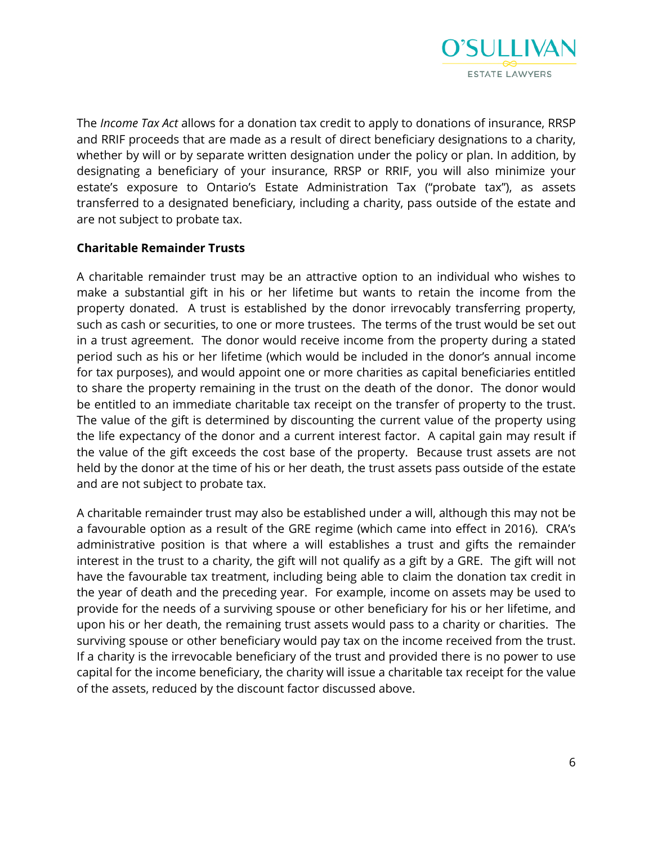

The *Income Tax Act* allows for a donation tax credit to apply to donations of insurance, RRSP and RRIF proceeds that are made as a result of direct beneficiary designations to a charity, whether by will or by separate written designation under the policy or plan. In addition, by designating a beneficiary of your insurance, RRSP or RRIF, you will also minimize your estate's exposure to Ontario's Estate Administration Tax ("probate tax"), as assets transferred to a designated beneficiary, including a charity, pass outside of the estate and are not subject to probate tax.

#### **Charitable Remainder Trusts**

A charitable remainder trust may be an attractive option to an individual who wishes to make a substantial gift in his or her lifetime but wants to retain the income from the property donated. A trust is established by the donor irrevocably transferring property, such as cash or securities, to one or more trustees. The terms of the trust would be set out in a trust agreement. The donor would receive income from the property during a stated period such as his or her lifetime (which would be included in the donor's annual income for tax purposes), and would appoint one or more charities as capital beneficiaries entitled to share the property remaining in the trust on the death of the donor. The donor would be entitled to an immediate charitable tax receipt on the transfer of property to the trust. The value of the gift is determined by discounting the current value of the property using the life expectancy of the donor and a current interest factor. A capital gain may result if the value of the gift exceeds the cost base of the property. Because trust assets are not held by the donor at the time of his or her death, the trust assets pass outside of the estate and are not subject to probate tax.

A charitable remainder trust may also be established under a will, although this may not be a favourable option as a result of the GRE regime (which came into effect in 2016). CRA's administrative position is that where a will establishes a trust and gifts the remainder interest in the trust to a charity, the gift will not qualify as a gift by a GRE. The gift will not have the favourable tax treatment, including being able to claim the donation tax credit in the year of death and the preceding year. For example, income on assets may be used to provide for the needs of a surviving spouse or other beneficiary for his or her lifetime, and upon his or her death, the remaining trust assets would pass to a charity or charities. The surviving spouse or other beneficiary would pay tax on the income received from the trust. If a charity is the irrevocable beneficiary of the trust and provided there is no power to use capital for the income beneficiary, the charity will issue a charitable tax receipt for the value of the assets, reduced by the discount factor discussed above.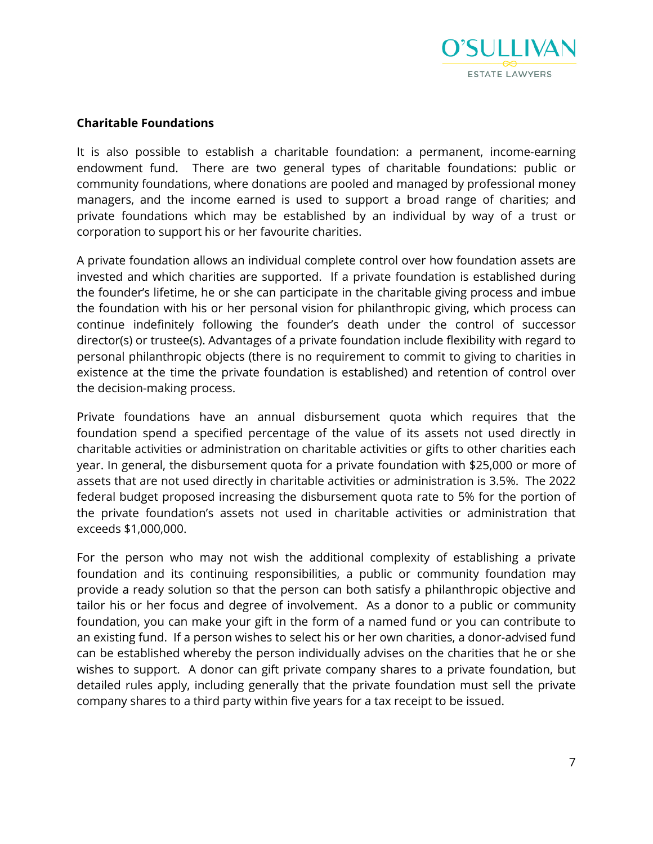

#### **Charitable Foundations**

It is also possible to establish a charitable foundation: a permanent, income-earning endowment fund. There are two general types of charitable foundations: public or community foundations, where donations are pooled and managed by professional money managers, and the income earned is used to support a broad range of charities; and private foundations which may be established by an individual by way of a trust or corporation to support his or her favourite charities.

A private foundation allows an individual complete control over how foundation assets are invested and which charities are supported. If a private foundation is established during the founder's lifetime, he or she can participate in the charitable giving process and imbue the foundation with his or her personal vision for philanthropic giving, which process can continue indefinitely following the founder's death under the control of successor director(s) or trustee(s). Advantages of a private foundation include flexibility with regard to personal philanthropic objects (there is no requirement to commit to giving to charities in existence at the time the private foundation is established) and retention of control over the decision-making process.

Private foundations have an annual disbursement quota which requires that the foundation spend a specified percentage of the value of its assets not used directly in charitable activities or administration on charitable activities or gifts to other charities each year. In general, the disbursement quota for a private foundation with \$25,000 or more of assets that are not used directly in charitable activities or administration is 3.5%. The 2022 federal budget proposed increasing the disbursement quota rate to 5% for the portion of the private foundation's assets not used in charitable activities or administration that exceeds \$1,000,000.

For the person who may not wish the additional complexity of establishing a private foundation and its continuing responsibilities, a public or community foundation may provide a ready solution so that the person can both satisfy a philanthropic objective and tailor his or her focus and degree of involvement. As a donor to a public or community foundation, you can make your gift in the form of a named fund or you can contribute to an existing fund. If a person wishes to select his or her own charities, a donor-advised fund can be established whereby the person individually advises on the charities that he or she wishes to support. A donor can gift private company shares to a private foundation, but detailed rules apply, including generally that the private foundation must sell the private company shares to a third party within five years for a tax receipt to be issued.